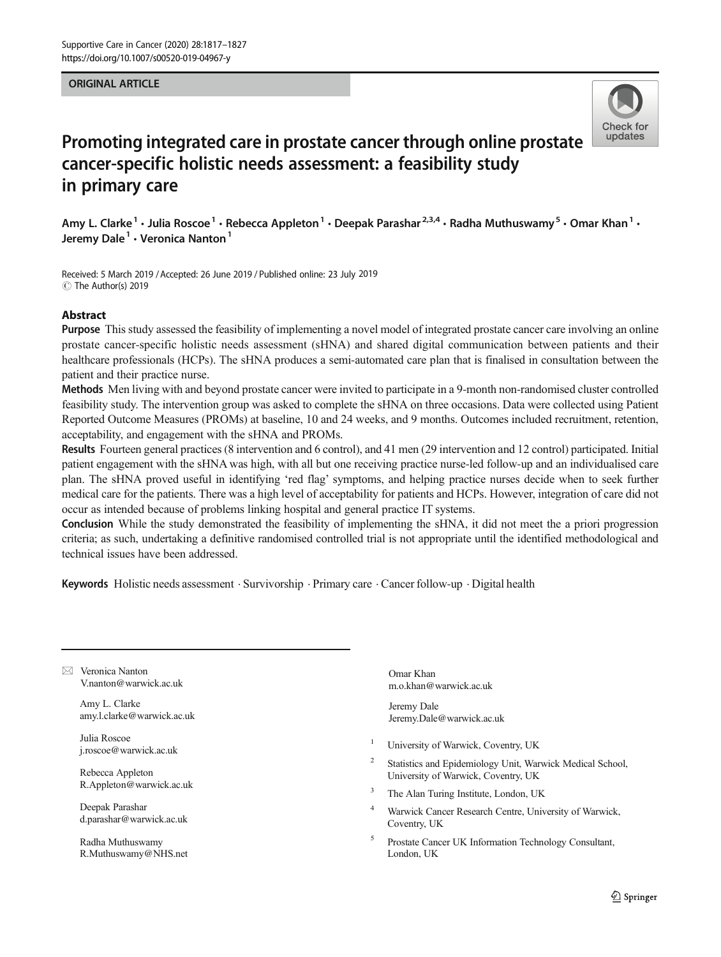#### ORIGINAL ARTICLE



# Promoting integrated care in prostate cancer through online prostate cancer-specific holistic needs assessment: a feasibility study in primary care

Amy L. Clarke<sup>1</sup> • Julia Roscoe<sup>1</sup> • Rebecca Appleton<sup>1</sup> • Deepak Parashar<sup>2,3,4</sup> • Radha Muthuswamy<sup>5</sup> • Omar Khan<sup>1</sup> • Jeremy Dale<sup>1</sup> · Veronica Nanton<sup>1</sup>

Received: 5 March 2019 /Accepted: 26 June 2019 / Published online: 23 July 2019  $\circledcirc$  The Author(s) 2019

#### Abstract

Purpose This study assessed the feasibility of implementing a novel model of integrated prostate cancer care involving an online prostate cancer-specific holistic needs assessment (sHNA) and shared digital communication between patients and their healthcare professionals (HCPs). The sHNA produces a semi-automated care plan that is finalised in consultation between the patient and their practice nurse.

Methods Men living with and beyond prostate cancer were invited to participate in a 9-month non-randomised cluster controlled feasibility study. The intervention group was asked to complete the sHNA on three occasions. Data were collected using Patient Reported Outcome Measures (PROMs) at baseline, 10 and 24 weeks, and 9 months. Outcomes included recruitment, retention, acceptability, and engagement with the sHNA and PROMs.

Results Fourteen general practices (8 intervention and 6 control), and 41 men (29 intervention and 12 control) participated. Initial patient engagement with the sHNA was high, with all but one receiving practice nurse-led follow-up and an individualised care plan. The sHNA proved useful in identifying 'red flag' symptoms, and helping practice nurses decide when to seek further medical care for the patients. There was a high level of acceptability for patients and HCPs. However, integration of care did not occur as intended because of problems linking hospital and general practice IT systems.

Conclusion While the study demonstrated the feasibility of implementing the sHNA, it did not meet the a priori progression criteria; as such, undertaking a definitive randomised controlled trial is not appropriate until the identified methodological and technical issues have been addressed.

Keywords Holistic needs assessment . Survivorship . Primary care . Cancer follow-up . Digital health

 $\boxtimes$  Veronica Nanton [V.nanton@warwick.ac.uk](mailto:V.nanton@warwick.ac.uk)

> Amy L. Clarke amy.l.clarke@warwick.ac.uk

Julia Roscoe j.roscoe@warwick.ac.uk

Rebecca Appleton R.Appleton@warwick.ac.uk

Deepak Parashar d.parashar@warwick.ac.uk

Radha Muthuswamy R.Muthuswamy@NHS.net

Omar Khan m.o.khan@warwick.ac.uk

Jeremy Dale Jeremy.Dale@warwick.ac.uk

- University of Warwick, Coventry, UK
- <sup>2</sup> Statistics and Epidemiology Unit, Warwick Medical School, University of Warwick, Coventry, UK
- The Alan Turing Institute, London, UK
- <sup>4</sup> Warwick Cancer Research Centre, University of Warwick, Coventry, UK
- Prostate Cancer UK Information Technology Consultant, London, UK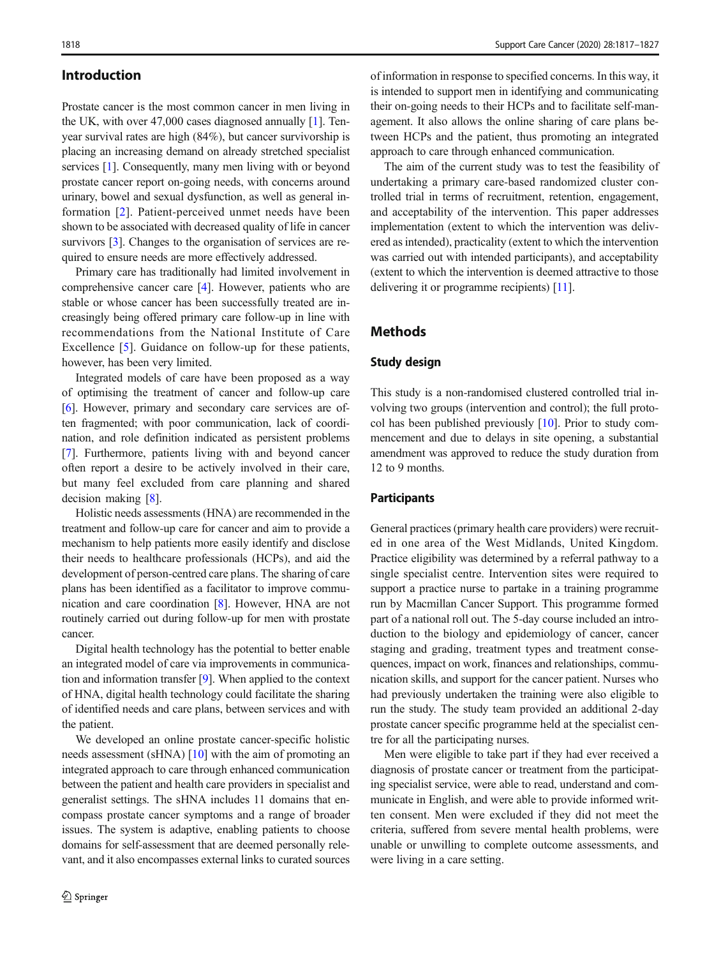## Introduction

Prostate cancer is the most common cancer in men living in the UK, with over 47,000 cases diagnosed annually [\[1](#page-9-0)]. Tenyear survival rates are high (84%), but cancer survivorship is placing an increasing demand on already stretched specialist services [\[1\]](#page-9-0). Consequently, many men living with or beyond prostate cancer report on-going needs, with concerns around urinary, bowel and sexual dysfunction, as well as general information [[2\]](#page-9-0). Patient-perceived unmet needs have been shown to be associated with decreased quality of life in cancer survivors [\[3\]](#page-9-0). Changes to the organisation of services are required to ensure needs are more effectively addressed.

Primary care has traditionally had limited involvement in comprehensive cancer care [\[4](#page-9-0)]. However, patients who are stable or whose cancer has been successfully treated are increasingly being offered primary care follow-up in line with recommendations from the National Institute of Care Excellence [[5\]](#page-9-0). Guidance on follow-up for these patients, however, has been very limited.

Integrated models of care have been proposed as a way of optimising the treatment of cancer and follow-up care [\[6](#page-10-0)]. However, primary and secondary care services are often fragmented; with poor communication, lack of coordination, and role definition indicated as persistent problems [\[7](#page-10-0)]. Furthermore, patients living with and beyond cancer often report a desire to be actively involved in their care, but many feel excluded from care planning and shared decision making [\[8](#page-10-0)].

Holistic needs assessments (HNA) are recommended in the treatment and follow-up care for cancer and aim to provide a mechanism to help patients more easily identify and disclose their needs to healthcare professionals (HCPs), and aid the development of person-centred care plans. The sharing of care plans has been identified as a facilitator to improve communication and care coordination [\[8\]](#page-10-0). However, HNA are not routinely carried out during follow-up for men with prostate cancer.

Digital health technology has the potential to better enable an integrated model of care via improvements in communication and information transfer [\[9](#page-10-0)]. When applied to the context of HNA, digital health technology could facilitate the sharing of identified needs and care plans, between services and with the patient.

We developed an online prostate cancer-specific holistic needs assessment (sHNA) [[10](#page-10-0)] with the aim of promoting an integrated approach to care through enhanced communication between the patient and health care providers in specialist and generalist settings. The sHNA includes 11 domains that encompass prostate cancer symptoms and a range of broader issues. The system is adaptive, enabling patients to choose domains for self-assessment that are deemed personally relevant, and it also encompasses external links to curated sources of information in response to specified concerns. In this way, it is intended to support men in identifying and communicating their on-going needs to their HCPs and to facilitate self-management. It also allows the online sharing of care plans between HCPs and the patient, thus promoting an integrated approach to care through enhanced communication.

The aim of the current study was to test the feasibility of undertaking a primary care-based randomized cluster controlled trial in terms of recruitment, retention, engagement, and acceptability of the intervention. This paper addresses implementation (extent to which the intervention was delivered as intended), practicality (extent to which the intervention was carried out with intended participants), and acceptability (extent to which the intervention is deemed attractive to those delivering it or programme recipients) [\[11](#page-10-0)].

## Methods

#### Study design

This study is a non-randomised clustered controlled trial involving two groups (intervention and control); the full protocol has been published previously [[10\]](#page-10-0). Prior to study commencement and due to delays in site opening, a substantial amendment was approved to reduce the study duration from 12 to 9 months.

#### **Participants**

General practices (primary health care providers) were recruited in one area of the West Midlands, United Kingdom. Practice eligibility was determined by a referral pathway to a single specialist centre. Intervention sites were required to support a practice nurse to partake in a training programme run by Macmillan Cancer Support. This programme formed part of a national roll out. The 5-day course included an introduction to the biology and epidemiology of cancer, cancer staging and grading, treatment types and treatment consequences, impact on work, finances and relationships, communication skills, and support for the cancer patient. Nurses who had previously undertaken the training were also eligible to run the study. The study team provided an additional 2-day prostate cancer specific programme held at the specialist centre for all the participating nurses.

Men were eligible to take part if they had ever received a diagnosis of prostate cancer or treatment from the participating specialist service, were able to read, understand and communicate in English, and were able to provide informed written consent. Men were excluded if they did not meet the criteria, suffered from severe mental health problems, were unable or unwilling to complete outcome assessments, and were living in a care setting.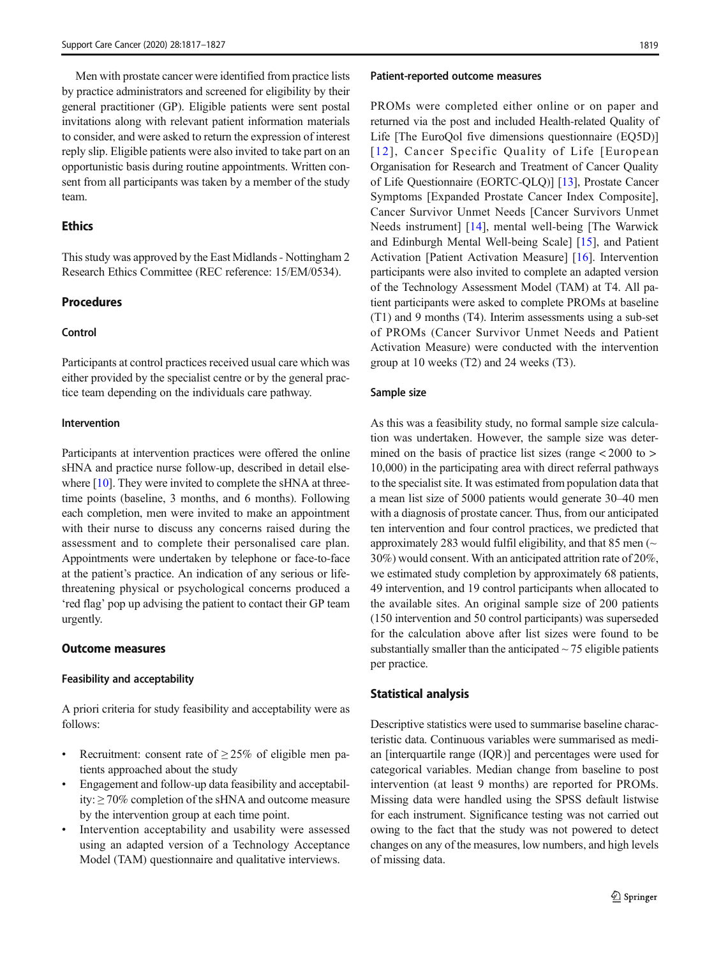Men with prostate cancer were identified from practice lists by practice administrators and screened for eligibility by their general practitioner (GP). Eligible patients were sent postal invitations along with relevant patient information materials to consider, and were asked to return the expression of interest reply slip. Eligible patients were also invited to take part on an opportunistic basis during routine appointments. Written consent from all participants was taken by a member of the study team.

## Ethics

This study was approved by the East Midlands - Nottingham 2 Research Ethics Committee (REC reference: 15/EM/0534).

#### Procedures

#### Control

Participants at control practices received usual care which was either provided by the specialist centre or by the general practice team depending on the individuals care pathway.

#### Intervention

Participants at intervention practices were offered the online sHNA and practice nurse follow-up, described in detail else-where [\[10\]](#page-10-0). They were invited to complete the sHNA at threetime points (baseline, 3 months, and 6 months). Following each completion, men were invited to make an appointment with their nurse to discuss any concerns raised during the assessment and to complete their personalised care plan. Appointments were undertaken by telephone or face-to-face at the patient's practice. An indication of any serious or lifethreatening physical or psychological concerns produced a 'red flag' pop up advising the patient to contact their GP team urgently.

#### Outcome measures

#### Feasibility and acceptability

A priori criteria for study feasibility and acceptability were as follows:

- Recruitment: consent rate of  $\geq$  25% of eligible men patients approached about the study
- Engagement and follow-up data feasibility and acceptability:  $\geq 70\%$  completion of the sHNA and outcome measure by the intervention group at each time point.
- Intervention acceptability and usability were assessed using an adapted version of a Technology Acceptance Model (TAM) questionnaire and qualitative interviews.

#### Patient-reported outcome measures

PROMs were completed either online or on paper and returned via the post and included Health-related Quality of Life [The EuroQol five dimensions questionnaire (EQ5D)] [[12](#page-10-0)], Cancer Specific Quality of Life [European] Organisation for Research and Treatment of Cancer Quality of Life Questionnaire (EORTC-QLQ)] [\[13\]](#page-10-0), Prostate Cancer Symptoms [Expanded Prostate Cancer Index Composite], Cancer Survivor Unmet Needs [Cancer Survivors Unmet Needs instrument] [\[14](#page-10-0)], mental well-being [The Warwick and Edinburgh Mental Well-being Scale] [[15\]](#page-10-0), and Patient Activation [Patient Activation Measure] [\[16](#page-10-0)]. Intervention participants were also invited to complete an adapted version of the Technology Assessment Model (TAM) at T4. All patient participants were asked to complete PROMs at baseline (T1) and 9 months (T4). Interim assessments using a sub-set of PROMs (Cancer Survivor Unmet Needs and Patient Activation Measure) were conducted with the intervention group at 10 weeks (T2) and 24 weeks (T3).

#### Sample size

As this was a feasibility study, no formal sample size calculation was undertaken. However, the sample size was determined on the basis of practice list sizes (range < 2000 to > 10,000) in the participating area with direct referral pathways to the specialist site. It was estimated from population data that a mean list size of 5000 patients would generate 30–40 men with a diagnosis of prostate cancer. Thus, from our anticipated ten intervention and four control practices, we predicted that approximately 283 would fulfil eligibility, and that 85 men ( $\sim$ 30%) would consent. With an anticipated attrition rate of 20%, we estimated study completion by approximately 68 patients, 49 intervention, and 19 control participants when allocated to the available sites. An original sample size of 200 patients (150 intervention and 50 control participants) was superseded for the calculation above after list sizes were found to be substantially smaller than the anticipated  $\sim$  75 eligible patients per practice.

#### Statistical analysis

Descriptive statistics were used to summarise baseline characteristic data. Continuous variables were summarised as median [interquartile range (IQR)] and percentages were used for categorical variables. Median change from baseline to post intervention (at least 9 months) are reported for PROMs. Missing data were handled using the SPSS default listwise for each instrument. Significance testing was not carried out owing to the fact that the study was not powered to detect changes on any of the measures, low numbers, and high levels of missing data.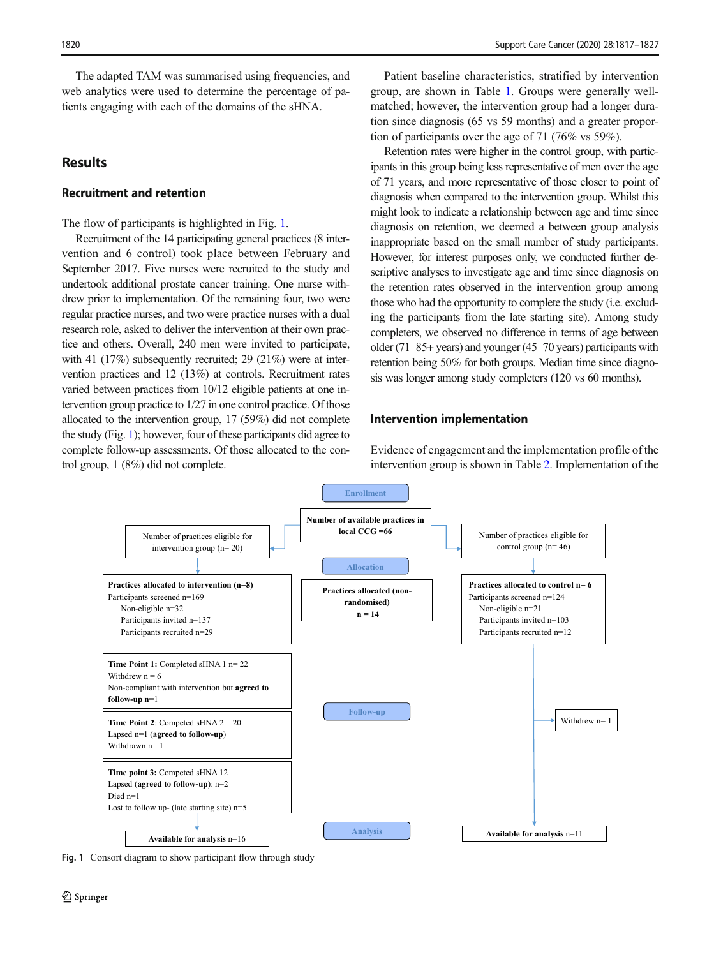<span id="page-3-0"></span>The adapted TAM was summarised using frequencies, and web analytics were used to determine the percentage of patients engaging with each of the domains of the sHNA.

## Results

### Recruitment and retention

The flow of participants is highlighted in Fig. 1.

Recruitment of the 14 participating general practices (8 intervention and 6 control) took place between February and September 2017. Five nurses were recruited to the study and undertook additional prostate cancer training. One nurse withdrew prior to implementation. Of the remaining four, two were regular practice nurses, and two were practice nurses with a dual research role, asked to deliver the intervention at their own practice and others. Overall, 240 men were invited to participate, with 41 (17%) subsequently recruited; 29 (21%) were at intervention practices and 12 (13%) at controls. Recruitment rates varied between practices from 10/12 eligible patients at one intervention group practice to 1/27 in one control practice. Of those allocated to the intervention group, 17 (59%) did not complete the study (Fig. 1); however, four of these participants did agree to complete follow-up assessments. Of those allocated to the control group, 1 (8%) did not complete.

Patient baseline characteristics, stratified by intervention group, are shown in Table [1](#page-4-0). Groups were generally wellmatched; however, the intervention group had a longer duration since diagnosis (65 vs 59 months) and a greater proportion of participants over the age of 71 (76% vs 59%).

Retention rates were higher in the control group, with participants in this group being less representative of men over the age of 71 years, and more representative of those closer to point of diagnosis when compared to the intervention group. Whilst this might look to indicate a relationship between age and time since diagnosis on retention, we deemed a between group analysis inappropriate based on the small number of study participants. However, for interest purposes only, we conducted further descriptive analyses to investigate age and time since diagnosis on the retention rates observed in the intervention group among those who had the opportunity to complete the study (i.e. excluding the participants from the late starting site). Among study completers, we observed no difference in terms of age between older (71–85+ years) and younger (45–70 years) participants with retention being 50% for both groups. Median time since diagnosis was longer among study completers (120 vs 60 months).

#### Intervention implementation

Evidence of engagement and the implementation profile of the intervention group is shown in Table [2](#page-5-0). Implementation of the



Fig. 1 Consort diagram to show participant flow through study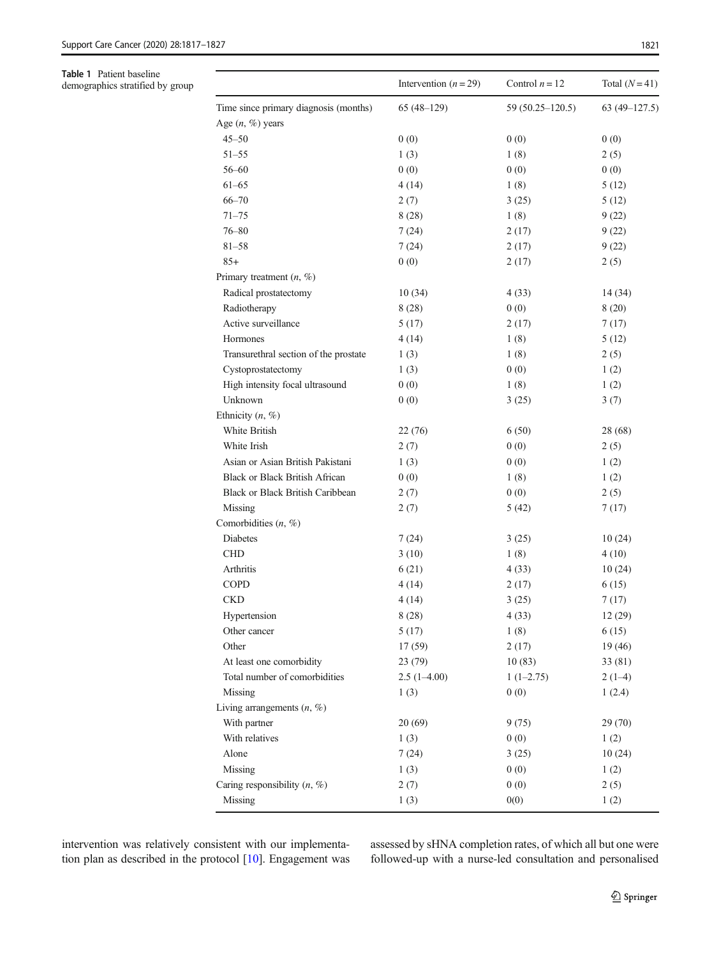<span id="page-4-0"></span>Table 1 Patient baseline demographics stratified by group -

|                                       | Intervention ( $n = 29$ ) | Control $n = 12$ | Total $(N=41)$   |  |
|---------------------------------------|---------------------------|------------------|------------------|--|
| Time since primary diagnosis (months) | $65(48-129)$              | 59 (50.25–120.5) | $63(49 - 127.5)$ |  |
| Age $(n, \%)$ years                   |                           |                  |                  |  |
| $45 - 50$                             | 0(0)                      | 0(0)             | 0(0)             |  |
| $51 - 55$                             | 1(3)                      | 1(8)             | 2(5)             |  |
| $56 - 60$                             | 0(0)                      | 0(0)             | 0(0)             |  |
| $61 - 65$                             | 4(14)                     | 1(8)             | 5(12)            |  |
| $66 - 70$                             | 2(7)                      | 3(25)            | 5(12)            |  |
| $71 - 75$                             | 8(28)                     | 1(8)             | 9(22)            |  |
| $76 - 80$                             | 7(24)                     | 2(17)            | 9(22)            |  |
| $81 - 58$                             | 7(24)                     | 2(17)            | 9(22)            |  |
| $85+$                                 | 0(0)                      | 2(17)            | 2(5)             |  |
| Primary treatment $(n, \%)$           |                           |                  |                  |  |
| Radical prostatectomy                 | 10(34)                    | 4(33)            | 14 (34)          |  |
| Radiotherapy                          | 8(28)                     | 0(0)             | 8(20)            |  |
| Active surveillance                   | 5(17)                     | 2(17)            | 7(17)            |  |
| Hormones                              | 4(14)                     | 1(8)             | 5(12)            |  |
| Transurethral section of the prostate | 1(3)                      | 1(8)             | 2(5)             |  |
| Cystoprostatectomy                    | 1(3)                      | 0(0)             | 1(2)             |  |
| High intensity focal ultrasound       | 0(0)                      | 1(8)             | 1(2)             |  |
| Unknown                               | 0(0)                      | 3(25)            | 3(7)             |  |
| Ethnicity $(n, \%)$                   |                           |                  |                  |  |
| White British                         | 22 (76)                   | 6(50)            | 28 (68)          |  |
| White Irish                           | 2(7)                      | 0(0)             | 2(5)             |  |
| Asian or Asian British Pakistani      | 1(3)                      | 0(0)             | 1(2)             |  |
| <b>Black or Black British African</b> | 0(0)                      | 1(8)             | 1(2)             |  |
| Black or Black British Caribbean      | 2(7)                      | 0(0)             | 2(5)             |  |
| Missing                               | 2(7)                      | 5(42)            | 7(17)            |  |
| Comorbidities $(n, \%)$               |                           |                  |                  |  |
| Diabetes                              | 7(24)                     | 3(25)            | 10(24)           |  |
| <b>CHD</b>                            | 3(10)                     | 1(8)             | 4(10)            |  |
| Arthritis                             | 6(21)                     | 4(33)            | 10(24)           |  |
| <b>COPD</b>                           | 4(14)                     | 2(17)            | 6(15)            |  |
| <b>CKD</b>                            | 4(14)                     | 3(25)            | 7(17)            |  |
| Hypertension                          | 8 (28)                    | 4(33)            | 12(29)           |  |
| Other cancer                          | 5(17)                     | 1(8)             | 6(15)            |  |
| Other                                 | 17 (59)                   | 2(17)            | 19 (46)          |  |
| At least one comorbidity              | 23 (79)                   | 10(83)           | 33(81)           |  |
| Total number of comorbidities         | $2.5(1-4.00)$             | $1(1-2.75)$      | $2(1-4)$         |  |
| Missing                               | 1(3)                      | 0(0)             | 1(2.4)           |  |
| Living arrangements $(n, \%)$         |                           |                  |                  |  |
| With partner                          | 20(69)                    | 9(75)            | 29 (70)          |  |
| With relatives                        | 1(3)                      | 0(0)             | 1(2)             |  |
| Alone                                 | 7(24)                     | 3(25)            | 10(24)           |  |
| Missing                               | 1(3)                      | 0(0)             | 1(2)             |  |
| Caring responsibility $(n, \%)$       | 2(7)                      | 0(0)             | 2(5)             |  |
| Missing                               | 1(3)                      | 0(0)             | 1(2)             |  |

intervention was relatively consistent with our implementation plan as described in the protocol [[10\]](#page-10-0). Engagement was assessed by sHNA completion rates, of which all but one were followed-up with a nurse-led consultation and personalised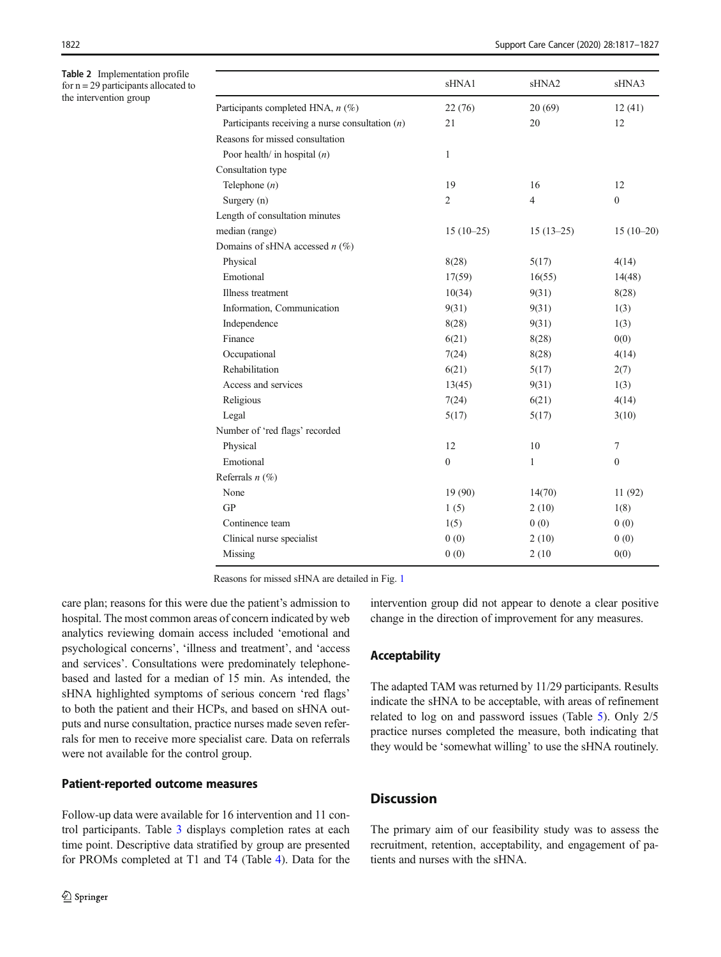<span id="page-5-0"></span>Table 2 Implementation profile for  $n = 29$  participants allocated to the intervention group

|                                                   | sHNA1          | sHNA2          | sHNA3        |
|---------------------------------------------------|----------------|----------------|--------------|
| Participants completed HNA, $n$ (%)               | 22(76)         | 20(69)         | 12(41)       |
| Participants receiving a nurse consultation $(n)$ | 21             | 20             | 12           |
| Reasons for missed consultation                   |                |                |              |
| Poor health/ in hospital $(n)$                    | 1              |                |              |
| Consultation type                                 |                |                |              |
| Telephone $(n)$                                   | 19             | 16             | 12           |
| Surgery (n)                                       | $\overline{2}$ | $\overline{4}$ | $\mathbf{0}$ |
| Length of consultation minutes                    |                |                |              |
| median (range)                                    | $15(10-25)$    | $15(13-25)$    | $15(10-20)$  |
| Domains of sHNA accessed $n$ (%)                  |                |                |              |
| Physical                                          | 8(28)          | 5(17)          | 4(14)        |
| Emotional                                         | 17(59)         | 16(55)         | 14(48)       |
| Illness treatment                                 | 10(34)         | 9(31)          | 8(28)        |
| Information, Communication                        | 9(31)          | 9(31)          | 1(3)         |
| Independence                                      | 8(28)          | 9(31)          | 1(3)         |
| Finance                                           | 6(21)          | 8(28)          | 0(0)         |
| Occupational                                      | 7(24)          | 8(28)          | 4(14)        |
| Rehabilitation                                    | 6(21)          | 5(17)          | 2(7)         |
| Access and services                               | 13(45)         | 9(31)          | 1(3)         |
| Religious                                         | 7(24)          | 6(21)          | 4(14)        |
| Legal                                             | 5(17)          | 5(17)          | 3(10)        |
| Number of 'red flags' recorded                    |                |                |              |
| Physical                                          | 12             | 10             | 7            |
| Emotional                                         | $\overline{0}$ | $\mathbf{1}$   | $\theta$     |
| Referrals $n$ (%)                                 |                |                |              |
| None                                              | 19(90)         | 14(70)         | 11 (92)      |
| GP                                                | 1(5)           | 2(10)          | 1(8)         |
| Continence team                                   | 1(5)           | 0(0)           | 0(0)         |
| Clinical nurse specialist                         | 0(0)           | 2(10)          | 0(0)         |
| Missing                                           | 0(0)           | 2(10)          | 0(0)         |
|                                                   |                |                |              |

Reasons for missed sHNA are detailed in Fig. [1](#page-3-0)

care plan; reasons for this were due the patient's admission to hospital. The most common areas of concern indicated by web analytics reviewing domain access included 'emotional and psychological concerns', 'illness and treatment', and 'access and services'. Consultations were predominately telephonebased and lasted for a median of 15 min. As intended, the sHNA highlighted symptoms of serious concern 'red flags' to both the patient and their HCPs, and based on sHNA outputs and nurse consultation, practice nurses made seven referrals for men to receive more specialist care. Data on referrals were not available for the control group.

## Patient-reported outcome measures

Follow-up data were available for 16 intervention and 11 control participants. Table [3](#page-6-0) displays completion rates at each time point. Descriptive data stratified by group are presented for PROMs completed at T1 and T4 (Table [4](#page-7-0)). Data for the intervention group did not appear to denote a clear positive change in the direction of improvement for any measures.

#### Acceptability

The adapted TAM was returned by 11/29 participants. Results indicate the sHNA to be acceptable, with areas of refinement related to log on and password issues (Table [5\)](#page-8-0). Only 2/5 practice nurses completed the measure, both indicating that they would be 'somewhat willing' to use the sHNA routinely.

# **Discussion**

The primary aim of our feasibility study was to assess the recruitment, retention, acceptability, and engagement of patients and nurses with the sHNA.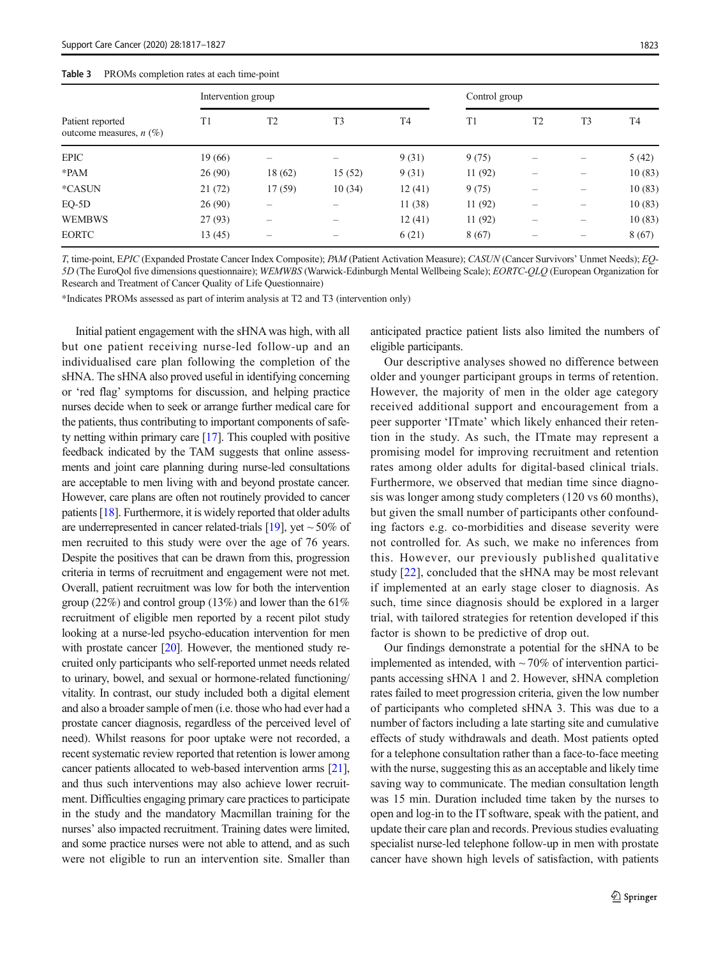#### <span id="page-6-0"></span>Table 3 PROMs completion rates at each time-point

|                                               |         | Intervention group |                |                |        | Control group  |                          |        |  |
|-----------------------------------------------|---------|--------------------|----------------|----------------|--------|----------------|--------------------------|--------|--|
| Patient reported<br>outcome measures, $n$ (%) | T1      | T <sub>2</sub>     | T <sub>3</sub> | T <sub>4</sub> | T1     | T <sub>2</sub> | T <sub>3</sub>           | T4     |  |
| <b>EPIC</b>                                   | 19 (66) |                    |                | 9(31)          | 9(75)  |                | -                        | 5(42)  |  |
| $*PAM$                                        | 26(90)  | 18 (62)            | 15(52)         | 9(31)          | 11(92) |                | $\overline{\phantom{0}}$ | 10(83) |  |
| *CASUN                                        | 21(72)  | 17(59)             | 10(34)         | 12(41)         | 9(75)  |                | $\overline{\phantom{0}}$ | 10(83) |  |
| $EQ-5D$                                       | 26(90)  |                    | -              | 11(38)         | 11(92) |                | $\overline{\phantom{0}}$ | 10(83) |  |
| <b>WEMBWS</b>                                 | 27(93)  |                    | -              | 12(41)         | 11(92) |                | $\overline{\phantom{0}}$ | 10(83) |  |
| <b>EORTC</b>                                  | 13 (45) |                    |                | 6(21)          | 8(67)  |                |                          | 8(67)  |  |

T, time-point, EPIC (Expanded Prostate Cancer Index Composite); PAM (Patient Activation Measure); CASUN (Cancer Survivors' Unmet Needs); EQ-5D (The EuroQol five dimensions questionnaire); WEMWBS (Warwick-Edinburgh Mental Wellbeing Scale); EORTC-QLQ (European Organization for Research and Treatment of Cancer Quality of Life Questionnaire)

\*Indicates PROMs assessed as part of interim analysis at T2 and T3 (intervention only)

Initial patient engagement with the sHNA was high, with all but one patient receiving nurse-led follow-up and an individualised care plan following the completion of the sHNA. The sHNA also proved useful in identifying concerning or 'red flag' symptoms for discussion, and helping practice nurses decide when to seek or arrange further medical care for the patients, thus contributing to important components of safety netting within primary care [\[17\]](#page-10-0). This coupled with positive feedback indicated by the TAM suggests that online assessments and joint care planning during nurse-led consultations are acceptable to men living with and beyond prostate cancer. However, care plans are often not routinely provided to cancer patients [\[18\]](#page-10-0). Furthermore, it is widely reported that older adults are underrepresented in cancer related-trials [\[19\]](#page-10-0), yet  $\sim$  50% of men recruited to this study were over the age of 76 years. Despite the positives that can be drawn from this, progression criteria in terms of recruitment and engagement were not met. Overall, patient recruitment was low for both the intervention group (22%) and control group (13%) and lower than the 61% recruitment of eligible men reported by a recent pilot study looking at a nurse-led psycho-education intervention for men with prostate cancer [\[20\]](#page-10-0). However, the mentioned study recruited only participants who self-reported unmet needs related to urinary, bowel, and sexual or hormone-related functioning/ vitality. In contrast, our study included both a digital element and also a broader sample of men (i.e. those who had ever had a prostate cancer diagnosis, regardless of the perceived level of need). Whilst reasons for poor uptake were not recorded, a recent systematic review reported that retention is lower among cancer patients allocated to web-based intervention arms [\[21\]](#page-10-0), and thus such interventions may also achieve lower recruitment. Difficulties engaging primary care practices to participate in the study and the mandatory Macmillan training for the nurses' also impacted recruitment. Training dates were limited, and some practice nurses were not able to attend, and as such were not eligible to run an intervention site. Smaller than anticipated practice patient lists also limited the numbers of eligible participants.

Our descriptive analyses showed no difference between older and younger participant groups in terms of retention. However, the majority of men in the older age category received additional support and encouragement from a peer supporter 'ITmate' which likely enhanced their retention in the study. As such, the ITmate may represent a promising model for improving recruitment and retention rates among older adults for digital-based clinical trials. Furthermore, we observed that median time since diagnosis was longer among study completers (120 vs 60 months), but given the small number of participants other confounding factors e.g. co-morbidities and disease severity were not controlled for. As such, we make no inferences from this. However, our previously published qualitative study [[22](#page-10-0)], concluded that the sHNA may be most relevant if implemented at an early stage closer to diagnosis. As such, time since diagnosis should be explored in a larger trial, with tailored strategies for retention developed if this factor is shown to be predictive of drop out.

Our findings demonstrate a potential for the sHNA to be implemented as intended, with  $\sim$  70% of intervention participants accessing sHNA 1 and 2. However, sHNA completion rates failed to meet progression criteria, given the low number of participants who completed sHNA 3. This was due to a number of factors including a late starting site and cumulative effects of study withdrawals and death. Most patients opted for a telephone consultation rather than a face-to-face meeting with the nurse, suggesting this as an acceptable and likely time saving way to communicate. The median consultation length was 15 min. Duration included time taken by the nurses to open and log-in to the IT software, speak with the patient, and update their care plan and records. Previous studies evaluating specialist nurse-led telephone follow-up in men with prostate cancer have shown high levels of satisfaction, with patients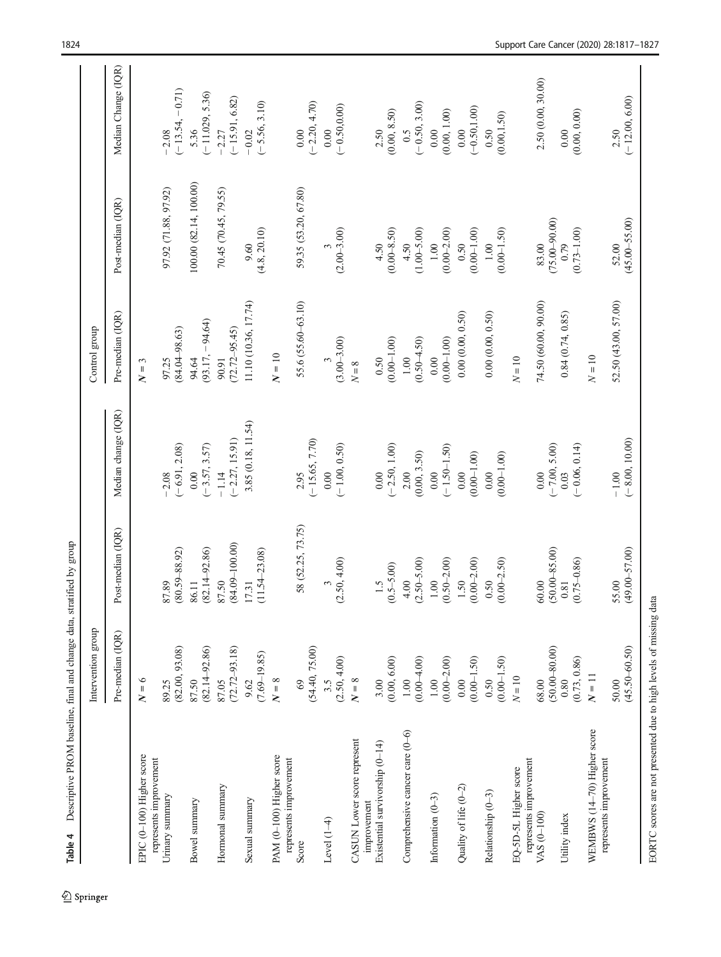<span id="page-7-0"></span>

|                                                                   | Intervention group                                   |                                  |                             | Control group              |                            |                              |
|-------------------------------------------------------------------|------------------------------------------------------|----------------------------------|-----------------------------|----------------------------|----------------------------|------------------------------|
|                                                                   | Pre-median (IQR)                                     | Post-median (IQR)                | Median change (IQR)         | Pre-median (IQR)           | Post-median (IQR)          | Median Change (IQR)          |
| EPIC (0-100) Higher score<br>represents improvement               | $N = 6$                                              |                                  |                             | $N=3$                      |                            |                              |
| Urinary summary                                                   | 89.25<br>(82.00, 93.08)                              | $(80.59 - 88.92)$<br>87.89       | $(-6.91, 2.08)$<br>$-2.08$  | $(84.04 - 98.63)$<br>97.25 | 97.92 (71.88, 97.92)       | $(-13.54, -0.71)$<br>$-2.08$ |
| Bowel summary                                                     | $(82.14 - 92.86)$<br>87.50                           | $(82.14 - 92.86)$<br>86.11       | $(-3.57, 3.57)$<br>0.00     | $(93.17, -94.64)$<br>94.64 | 100.00 (82.14, 100.00)     | $(-11.029, 5.36)$<br>5.36    |
| Hormonal summary                                                  | $87.05$<br>(72.72–93.18)                             | $(84.09 - 100.00)$<br>87.50      | $(-2.27, 15.91)$<br>$-1.14$ | $(72.72 - 95.45)$<br>90.91 | 70.45 (70.45, 79.55)       | $(-15.91, 6.82)$<br>$-2.27$  |
| Sexual summary                                                    | $9.62$<br>(7.69-19.85)                               | $(11.54 - 23.08)$<br>17.31       | 3.85 (0.18, 11.54)          | 11.10 (10.36, 17.74)       | (4.8, 20.10)<br>9.60       | $(-5.56, 3.10)$<br>$-0.02$   |
| PAM (0-100) Higher score<br>represents improvement                | $N=8$                                                |                                  |                             | ${\cal N}=10$              |                            |                              |
| Score                                                             | (54.40, 75.00)<br>$\mathcal{S}^9$                    | 58 (52.25, 73.75)                | $(-15.65, 7.70)$<br>2.95    | 55.6 (55.60-63.10)         | 59.35 (53.20, 67.80)       | $(-2.20, 4.70)$<br>0.00      |
| Level $(1-4)$                                                     | $3.5$<br>$(2.50, 4.00)$                              | (2.50, 4.00)                     | $(-1.00, 0.50)$<br>0.00     | $(3.00 - 3.00)$            | $(2.00 - 3.00)$            | $(-0.50, 0.00)$<br>0.00      |
| CASUN Lower score represent                                       | $N=8$                                                |                                  |                             | $N=8$                      |                            |                              |
| Existential survivorship (0-14)<br>improvement                    | $3.00$<br>$(0.00, 6.00)$                             | $(0.5 - 5.00)$<br>$\frac{15}{2}$ | $(-2.50, 1.00)$<br>0.00     | $(0.00 - 1.00)$<br>0.50    | $(0.00 - 8.50)$<br>4.50    | (0.00, 8.50)<br>2.50         |
| Comprehensive cancer care (0-6)                                   | $1.00$<br>$(0.00-4.00)$                              | $(2.50 - 5.00)$<br>4.00          | (0.00, 3.50)<br>2.00        | $(0.50 - 4.50)$<br>1.00    | $(1.00 - 5.00)$<br>4.50    | $(-0.50, 3.00)$<br>0.5       |
| Information $(0-3)$                                               | $1.00$<br>$(0.00-2.00)$                              | $(0.50 - 2.00)$<br>$1.00\,$      | $(-1.50 - 1.50)$<br>0.00    | $(0.00 - 1.00)$<br>0.00    | $(0.00 - 2.00)$<br>1.00    | (0.00, 1.00)<br>0.00         |
| Quality of life (0-2)                                             | $\begin{array}{c} 0.00 \\ (0.00 - 1.50) \end{array}$ | $(0.00 - 2.00)$<br>1.50          | $(0.00 - 1.00)$<br>0.00     | 0.00(0.00, 0.50)           | $(0.00 - 1.00)$<br>0.50    | $(-0.50, 1.00)$<br>0.00      |
| Relationship (0-3)                                                | $(0.00 - 1.50)$<br>0.50                              | $(0.00 - 2.50)$<br>0.50          | $(0.00 - 1.00)$<br>0.00     | 0.00(0.00, 0.50)           | $(0.00 - 1.50)$<br>1.00    | (0.00, 1.50)<br>0.50         |
| represents improvement<br>EQ-5D-5L Higher score                   | $N\!=\!10$                                           |                                  |                             | $N = 10$                   |                            |                              |
| VAS (0-100)                                                       | $(50.00 - 80.00)$<br>68.00                           | $(50.00 - 85.00)$<br>60.00       | $(-7.00, 5.00)$<br>0.00     | 74.50 (60.00, 90.00)       | $(75.00 - 90.00)$<br>83.00 | 2.50 (0.00, 30.00)           |
| Utility index                                                     | (0.73, 0.86)<br>$0.80\,$                             | $(0.75 - 0.86)$<br>$0.81\,$      | $(-0.06, 0.14)$<br>0.03     | 0.84(0.74, 0.85)           | $(0.73 - 1.00)$<br>0.79    | (0.00, 0.00)<br>0.00         |
| WEMBWS (14-70) Higher score<br>represents improvement             | $N = 11$                                             |                                  |                             | $N = 10$                   |                            |                              |
|                                                                   | $(45.50 - 60.50)$<br>50.00                           | $(49.00 - 57.00)$<br>55.00       | $(-8.00, 10.00)$<br>$-1.00$ | 52.50 (43.00, 57.00)       | $(45.00 - 55.00)$<br>52.00 | $(-12.00, 6.00)$<br>2.50     |
| EORTC scores are not presented due to high levels of missing data |                                                      |                                  |                             |                            |                            |                              |

 $\underline{\textcircled{\tiny 2}}$  Springer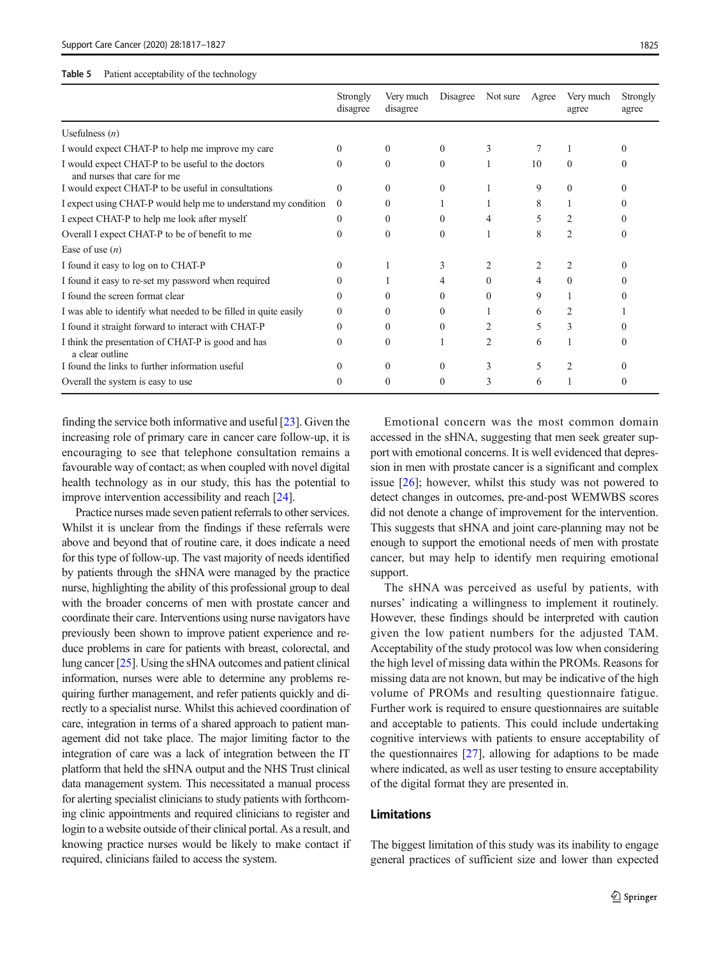#### <span id="page-8-0"></span>Table 5 Patient acceptability of the technology

|                                                                                  | Strongly<br>disagree | Very much<br>disagree | Disagree | Not sure | Agree | Very much<br>agree | Strongly<br>agree |
|----------------------------------------------------------------------------------|----------------------|-----------------------|----------|----------|-------|--------------------|-------------------|
| Usefulness $(n)$                                                                 |                      |                       |          |          |       |                    |                   |
| I would expect CHAT-P to help me improve my care                                 | $\Omega$             | $\Omega$              | $\theta$ | 3        |       |                    | $\Omega$          |
| I would expect CHAT-P to be useful to the doctors<br>and nurses that care for me |                      | 0                     | $\theta$ |          | 10    | $\Omega$           | $\Omega$          |
| I would expect CHAT-P to be useful in consultations                              | $\Omega$             | 0                     | $\theta$ |          | 9     | 0                  | 0                 |
| I expect using CHAT-P would help me to understand my condition                   | $\mathbf{0}$         | $\Omega$              |          |          | 8     |                    | $\theta$          |
| I expect CHAT-P to help me look after myself                                     |                      | 0                     | $\Omega$ | 4        | 5     |                    | 0                 |
| Overall I expect CHAT-P to be of benefit to me                                   |                      | 0                     | $\theta$ |          | 8     | 2                  | 0                 |
| Ease of use $(n)$                                                                |                      |                       |          |          |       |                    |                   |
| I found it easy to log on to CHAT-P                                              |                      |                       |          |          |       |                    | $\Omega$          |
| I found it easy to re-set my password when required                              |                      |                       |          | $\Omega$ | 4     | 0                  |                   |
| I found the screen format clear                                                  |                      |                       | $\Omega$ | 0        | 9     |                    |                   |
| I was able to identify what needed to be filled in quite easily                  |                      |                       | $\Omega$ |          | 6     |                    |                   |
| I found it straight forward to interact with CHAT-P                              |                      |                       |          |          | 5     | 3                  |                   |
| I think the presentation of CHAT-P is good and has<br>a clear outline            | $\theta$             | 0                     |          | 2        | 6     |                    | $\theta$          |
| I found the links to further information useful                                  |                      |                       | 0        | 3        | 5.    |                    | $\theta$          |
| Overall the system is easy to use                                                |                      | $\theta$              | $\theta$ | 3        | 6     |                    | $\Omega$          |

finding the service both informative and useful [\[23](#page-10-0)]. Given the increasing role of primary care in cancer care follow-up, it is encouraging to see that telephone consultation remains a favourable way of contact; as when coupled with novel digital health technology as in our study, this has the potential to improve intervention accessibility and reach [[24](#page-10-0)].

Practice nurses made seven patient referrals to other services. Whilst it is unclear from the findings if these referrals were above and beyond that of routine care, it does indicate a need for this type of follow-up. The vast majority of needs identified by patients through the sHNA were managed by the practice nurse, highlighting the ability of this professional group to deal with the broader concerns of men with prostate cancer and coordinate their care. Interventions using nurse navigators have previously been shown to improve patient experience and reduce problems in care for patients with breast, colorectal, and lung cancer [\[25\]](#page-10-0). Using the sHNA outcomes and patient clinical information, nurses were able to determine any problems requiring further management, and refer patients quickly and directly to a specialist nurse. Whilst this achieved coordination of care, integration in terms of a shared approach to patient management did not take place. The major limiting factor to the integration of care was a lack of integration between the IT platform that held the sHNA output and the NHS Trust clinical data management system. This necessitated a manual process for alerting specialist clinicians to study patients with forthcoming clinic appointments and required clinicians to register and login to a website outside of their clinical portal. As a result, and knowing practice nurses would be likely to make contact if required, clinicians failed to access the system.

Emotional concern was the most common domain accessed in the sHNA, suggesting that men seek greater support with emotional concerns. It is well evidenced that depression in men with prostate cancer is a significant and complex issue [[26\]](#page-10-0); however, whilst this study was not powered to detect changes in outcomes, pre-and-post WEMWBS scores did not denote a change of improvement for the intervention. This suggests that sHNA and joint care-planning may not be enough to support the emotional needs of men with prostate cancer, but may help to identify men requiring emotional support.

The sHNA was perceived as useful by patients, with nurses' indicating a willingness to implement it routinely. However, these findings should be interpreted with caution given the low patient numbers for the adjusted TAM. Acceptability of the study protocol was low when considering the high level of missing data within the PROMs. Reasons for missing data are not known, but may be indicative of the high volume of PROMs and resulting questionnaire fatigue. Further work is required to ensure questionnaires are suitable and acceptable to patients. This could include undertaking cognitive interviews with patients to ensure acceptability of the questionnaires [\[27](#page-10-0)], allowing for adaptions to be made where indicated, as well as user testing to ensure acceptability of the digital format they are presented in.

## Limitations

The biggest limitation of this study was its inability to engage general practices of sufficient size and lower than expected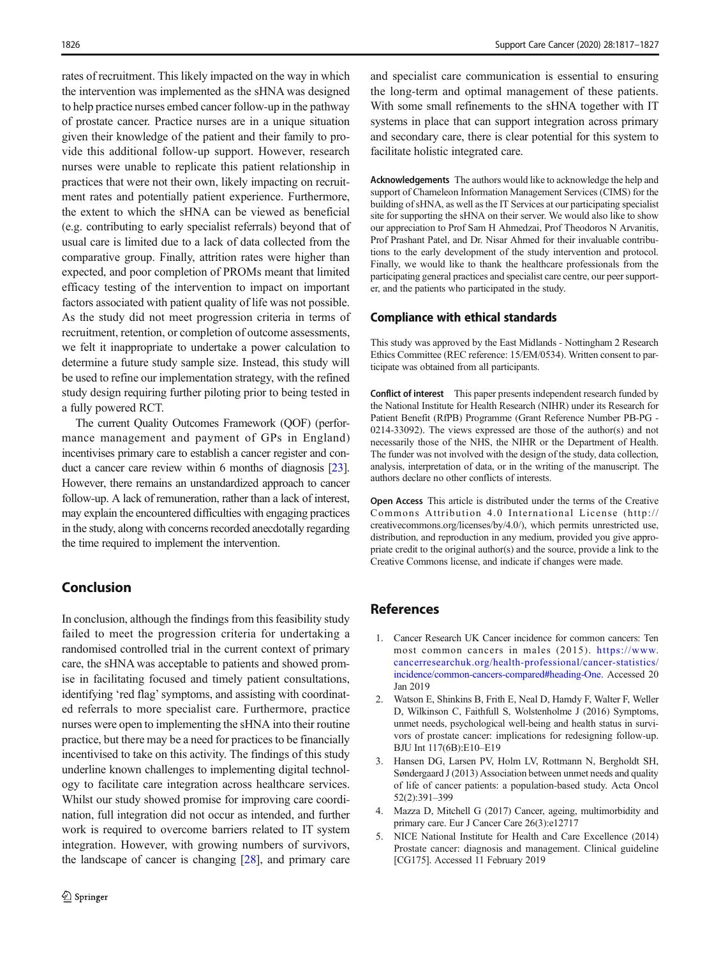<span id="page-9-0"></span>rates of recruitment. This likely impacted on the way in which the intervention was implemented as the sHNA was designed to help practice nurses embed cancer follow-up in the pathway of prostate cancer. Practice nurses are in a unique situation given their knowledge of the patient and their family to provide this additional follow-up support. However, research nurses were unable to replicate this patient relationship in practices that were not their own, likely impacting on recruitment rates and potentially patient experience. Furthermore, the extent to which the sHNA can be viewed as beneficial (e.g. contributing to early specialist referrals) beyond that of usual care is limited due to a lack of data collected from the comparative group. Finally, attrition rates were higher than expected, and poor completion of PROMs meant that limited efficacy testing of the intervention to impact on important factors associated with patient quality of life was not possible. As the study did not meet progression criteria in terms of recruitment, retention, or completion of outcome assessments, we felt it inappropriate to undertake a power calculation to determine a future study sample size. Instead, this study will be used to refine our implementation strategy, with the refined study design requiring further piloting prior to being tested in a fully powered RCT.

The current Quality Outcomes Framework (QOF) (performance management and payment of GPs in England) incentivises primary care to establish a cancer register and conduct a cancer care review within 6 months of diagnosis [\[23\]](#page-10-0). However, there remains an unstandardized approach to cancer follow-up. A lack of remuneration, rather than a lack of interest, may explain the encountered difficulties with engaging practices in the study, along with concerns recorded anecdotally regarding the time required to implement the intervention.

## Conclusion

In conclusion, although the findings from this feasibility study failed to meet the progression criteria for undertaking a randomised controlled trial in the current context of primary care, the sHNA was acceptable to patients and showed promise in facilitating focused and timely patient consultations, identifying 'red flag'symptoms, and assisting with coordinated referrals to more specialist care. Furthermore, practice nurses were open to implementing the sHNA into their routine practice, but there may be a need for practices to be financially incentivised to take on this activity. The findings of this study underline known challenges to implementing digital technology to facilitate care integration across healthcare services. Whilst our study showed promise for improving care coordination, full integration did not occur as intended, and further work is required to overcome barriers related to IT system integration. However, with growing numbers of survivors, the landscape of cancer is changing  $[28]$  $[28]$ , and primary care

and specialist care communication is essential to ensuring the long-term and optimal management of these patients. With some small refinements to the sHNA together with IT systems in place that can support integration across primary and secondary care, there is clear potential for this system to facilitate holistic integrated care.

Acknowledgements The authors would like to acknowledge the help and support of Chameleon Information Management Services (CIMS) for the building of sHNA, as well as the IT Services at our participating specialist site for supporting the sHNA on their server. We would also like to show our appreciation to Prof Sam H Ahmedzai, Prof Theodoros N Arvanitis, Prof Prashant Patel, and Dr. Nisar Ahmed for their invaluable contributions to the early development of the study intervention and protocol. Finally, we would like to thank the healthcare professionals from the participating general practices and specialist care centre, our peer supporter, and the patients who participated in the study.

#### Compliance with ethical standards

This study was approved by the East Midlands - Nottingham 2 Research Ethics Committee (REC reference: 15/EM/0534). Written consent to participate was obtained from all participants.

Conflict of interest This paper presents independent research funded by the National Institute for Health Research (NIHR) under its Research for Patient Benefit (RfPB) Programme (Grant Reference Number PB-PG - 0214-33092). The views expressed are those of the author(s) and not necessarily those of the NHS, the NIHR or the Department of Health. The funder was not involved with the design of the study, data collection, analysis, interpretation of data, or in the writing of the manuscript. The authors declare no other conflicts of interests.

Open Access This article is distributed under the terms of the Creative Commons Attribution 4.0 International License (http:// creativecommons.org/licenses/by/4.0/), which permits unrestricted use, distribution, and reproduction in any medium, provided you give appropriate credit to the original author(s) and the source, provide a link to the Creative Commons license, and indicate if changes were made.

## References

- 1. Cancer Research UK Cancer incidence for common cancers: Ten most common cancers in males (2015). [https://www.](https://www.cancerresearchuk.org/health-professional/cancer-statistics/incidence/common-cancers-compared#heading-One) [cancerresearchuk.org/health-professional/cancer-statistics/](https://www.cancerresearchuk.org/health-professional/cancer-statistics/incidence/common-cancers-compared#heading-One) [incidence/common-cancers-compared#heading-One.](https://www.cancerresearchuk.org/health-professional/cancer-statistics/incidence/common-cancers-compared#heading-One) Accessed 20 Jan 2019
- 2. Watson E, Shinkins B, Frith E, Neal D, Hamdy F, Walter F, Weller D, Wilkinson C, Faithfull S, Wolstenholme J (2016) Symptoms, unmet needs, psychological well-being and health status in survivors of prostate cancer: implications for redesigning follow-up. BJU Int 117(6B):E10–E19
- 3. Hansen DG, Larsen PV, Holm LV, Rottmann N, Bergholdt SH, Søndergaard J (2013) Association between unmet needs and quality of life of cancer patients: a population-based study. Acta Oncol 52(2):391–399
- 4. Mazza D, Mitchell G (2017) Cancer, ageing, multimorbidity and primary care. Eur J Cancer Care 26(3):e12717
- 5. NICE National Institute for Health and Care Excellence (2014) Prostate cancer: diagnosis and management. Clinical guideline [CG175]. Accessed 11 February 2019